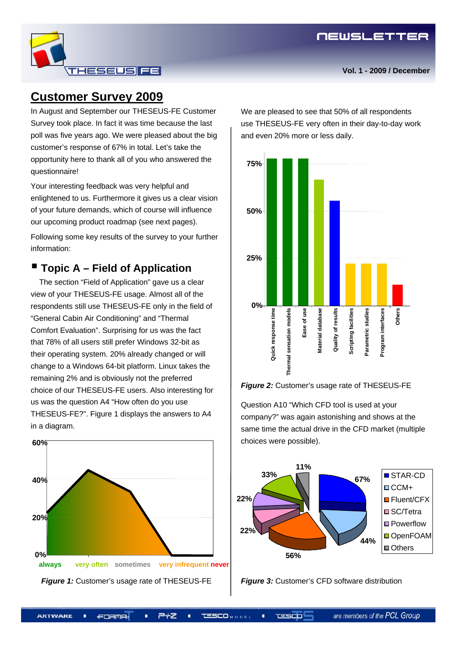### **Customer Survey 2009**

In August and September our THESEUS-FE Customer Survey took place. In fact it was time because the last poll was five years ago. We were pleased about the big customer's response of 67% in total. Let's take the opportunity here to thank all of you who answered the questionnaire!

**THESEUS FE** 

Your interesting feedback was very helpful and enlightened to us. Furthermore it gives us a clear vision of your future demands, which of course will influence our upcoming product roadmap (see next pages). Following some key results of the survey to your further information:

#### ■ Topic A – Field of Application

The section "Field of Application" gave us a clear view of your THESEUS-FE usage. Almost all of the respondents still use THESEUS-FE only in the field of "General Cabin Air Conditioning" and "Thermal Comfort Evaluation". Surprising for us was the fact that 78% of all users still prefer Windows 32-bit as their operating system. 20% already changed or will change to a Windows 64-bit platform. Linux takes the remaining 2% and is obviously not the preferred choice of our THESEUS-FE users. Also interesting for us was the question A4 "How often do you use THESEUS-FE?". Figure 1 displays the answers to A4 in a diagram.



We are pleased to see that 50% of all respondents use THESEUS-FE very often in their day-to-day work and even 20% more or less daily.





Question A10 "Which CFD tool is used at your company?" was again astonishing and shows at the same time the actual drive in the CFD market (multiple choices were possible).



**Figure 3: Customer's CFD software distribution** 

FORMA.

ユー **TESCO** Mole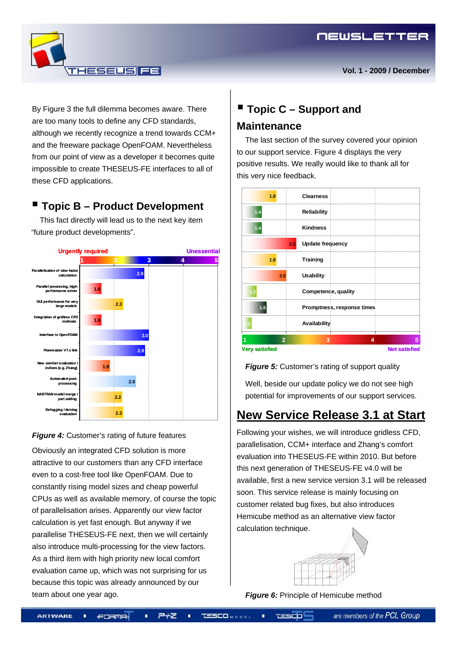By Figure 3 the full dilemma becomes aware. There are too many tools to define any CFD standards, although we recently recognize a trend towards CCM+ and the freeware package OpenFOAM. Nevertheless from our point of view as a developer it becomes quite impossible to create THESEUS-FE interfaces to all of these CFD applications.

**THESEUS FE** 

#### **Topic B – Product Development**

This fact directly will lead us to the next key item "future product developments".



**Figure 4:** Customer's rating of future features

Obviously an integrated CFD solution is more attractive to our customers than any CFD interface even to a cost-free tool like OpenFOAM. Due to constantly rising model sizes and cheap powerful CPUs as well as available memory, of course the topic of parallelisation arises. Apparently our view factor calculation is yet fast enough. But anyway if we parallelise THESEUS-FE next, then we will certainly also introduce multi-processing for the view factors. As a third item with high priority new local comfort evaluation came up, which was not surprising for us because this topic was already announced by our team about one year ago.

### **Topic C – Support and Maintenance**

The last section of the survey covered your opinion to our support service. Figure 4 displays the very positive results. We really would like to thank all for this very nice feedback.



*Figure 5:* Customer's rating of support quality

Well, beside our update policy we do not see high potential for improvements of our support services.

### **New Service Release 3.1 at Start**

Following your wishes, we will introduce gridless CFD, parallelisation, CCM+ interface and Zhang's comfort evaluation into THESEUS-FE within 2010. But before this next generation of THESEUS-FE v4.0 will be available, first a new service version 3.1 will be released soon. This service release is mainly focusing on customer related bug fixes, but also introduces Hemicube method as an alternative view factor calculation technique.



**Figure 6:** Principle of Hemicube method

**TESCO**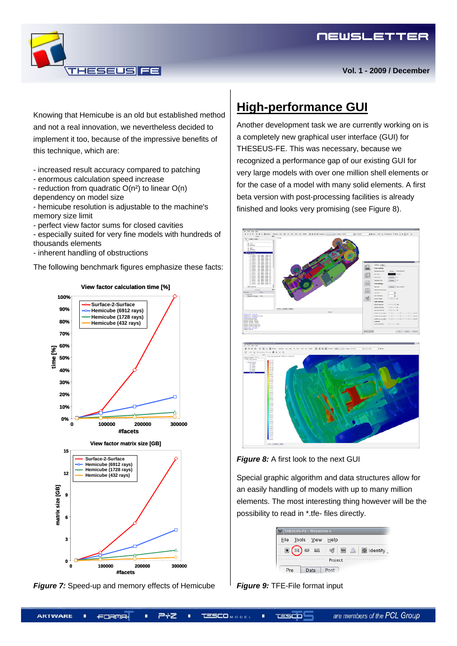

**Vol. 1 - 2009 / December**

Knowing that Hemicube is an old but established method and not a real innovation, we nevertheless decided to implement it too, because of the impressive benefits of this technique, which are:

**HESELISI FE** 

- increased result accuracy compared to patching

- enormous calculation speed increase

- reduction from quadratic  $O(n^2)$  to linear  $O(n)$ dependency on model size

- hemicube resolution is adjustable to the machine's memory size limit

- perfect view factor sums for closed cavities

- especially suited for very fine models with hundreds of thousands elements

- inherent handling of obstructions

The following benchmark figures emphasize these facts:



**View factor calculation time [%]**



# **High-performance GUI**

Another development task we are currently working on is a completely new graphical user interface (GUI) for THESEUS-FE. This was necessary, because we recognized a performance gap of our existing GUI for very large models with over one million shell elements or for the case of a model with many solid elements. A first beta version with post-processing facilities is already finished and looks very promising (see Figure 8).





**Figure 8:** A first look to the next GUI

Special graphic algorithm and data structures allow for an easily handling of models with up to many million elements. The most interesting thing however will be the possibility to read in \*.tfe- files directly.

| <b>THESEUS-FE - Milestone 4</b> |            |      |               |          |
|---------------------------------|------------|------|---------------|----------|
| File                            | Tools View |      | Help          |          |
|                                 | HDF        | NAS  | ඝ<br>$\equiv$ | identify |
| Project                         |            |      |               |          |
| Pre                             |            | Data | Post          |          |

*Figure 9:* TFE-File format input